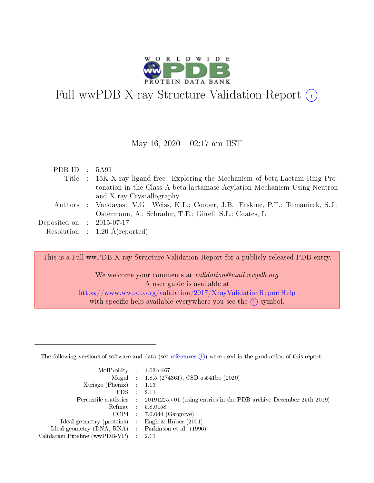

# Full wwPDB X-ray Structure Validation Report (i)

#### May 16,  $2020 - 02:17$  am BST

| PDB ID : $5A91$                      |                                                                                       |
|--------------------------------------|---------------------------------------------------------------------------------------|
|                                      | Title : 15K X-ray ligand free: Exploring the Mechanism of beta-Lactam Ring Pro-       |
|                                      | tonation in the Class A beta-lactamase Acylation Mechanism Using Neutron              |
|                                      | and X-ray Crystallography                                                             |
|                                      | Authors : Vandavasi, V.G.; Weiss, K.L.; Cooper, J.B.; Erskine, P.T.; Tomanicek, S.J.; |
|                                      | Ostermann, A.; Schrader, T.E.; Ginell, S.L.; Coates, L.                               |
| Deposited on $\therefore$ 2015-07-17 |                                                                                       |
|                                      | Resolution : $1.20 \text{ Å}$ (reported)                                              |

This is a Full wwPDB X-ray Structure Validation Report for a publicly released PDB entry.

We welcome your comments at *validation@mail.wwpdb.org* A user guide is available at <https://www.wwpdb.org/validation/2017/XrayValidationReportHelp> with specific help available everywhere you see the  $(i)$  symbol.

The following versions of software and data (see [references](https://www.wwpdb.org/validation/2017/XrayValidationReportHelp#references)  $(1)$ ) were used in the production of this report:

| $MolProbability$ 4.02b-467                          |               |                                                                                            |
|-----------------------------------------------------|---------------|--------------------------------------------------------------------------------------------|
|                                                     |               | Mogul : $1.8.5$ (274361), CSD as 541be (2020)                                              |
| Xtriage (Phenix) $: 1.13$                           |               |                                                                                            |
| EDS.                                                | $\mathcal{L}$ | -2.11                                                                                      |
|                                                     |               | Percentile statistics : 20191225.v01 (using entries in the PDB archive December 25th 2019) |
|                                                     |               | Refmac $5.8.0158$                                                                          |
| CCP4                                                |               | $7.0.044$ (Gargrove)                                                                       |
| Ideal geometry (proteins)                           | $\sim$        | Engh $\&$ Huber (2001)                                                                     |
| Ideal geometry (DNA, RNA) : Parkinson et al. (1996) |               |                                                                                            |
| Validation Pipeline (wwPDB-VP) : 2.11               |               |                                                                                            |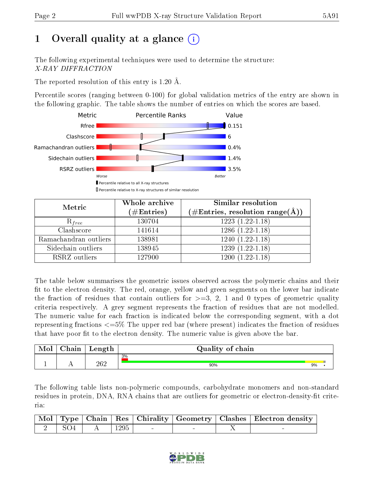# 1 [O](https://www.wwpdb.org/validation/2017/XrayValidationReportHelp#overall_quality)verall quality at a glance  $(i)$

The following experimental techniques were used to determine the structure: X-RAY DIFFRACTION

The reported resolution of this entry is 1.20 Å.

Percentile scores (ranging between 0-100) for global validation metrics of the entry are shown in the following graphic. The table shows the number of entries on which the scores are based.



| Metric                | Whole archive<br>$(\#\mathrm{Entries})$ | Similar resolution<br>$(\#\text{Entries}, \text{resolution range}(\textup{\AA}))$ |
|-----------------------|-----------------------------------------|-----------------------------------------------------------------------------------|
| $R_{free}$            | 130704                                  | $1223(1.22-1.18)$                                                                 |
| Clashscore            | 141614                                  | $1286(1.22-1.18)$                                                                 |
| Ramachandran outliers | 138981                                  | $1240(1.22-1.18)$                                                                 |
| Sidechain outliers    | 138945                                  | $1239(1.22-1.18)$                                                                 |
| RSRZ outliers         | 127900                                  | $1200(1.22-1.18)$                                                                 |

The table below summarises the geometric issues observed across the polymeric chains and their fit to the electron density. The red, orange, yellow and green segments on the lower bar indicate the fraction of residues that contain outliers for  $>=3, 2, 1$  and 0 types of geometric quality criteria respectively. A grey segment represents the fraction of residues that are not modelled. The numeric value for each fraction is indicated below the corresponding segment, with a dot representing fractions <=5% The upper red bar (where present) indicates the fraction of residues that have poor fit to the electron density. The numeric value is given above the bar.

| <b>Mol</b> | $\sim$ 1<br>'hain | Length | Quality of chain |    |  |
|------------|-------------------|--------|------------------|----|--|
|            |                   |        | 3%               |    |  |
|            | . .               | 262    | 90%              | 9% |  |

The following table lists non-polymeric compounds, carbohydrate monomers and non-standard residues in protein, DNA, RNA chains that are outliers for geometric or electron-density-fit criteria:

|         |                                |  |  | Mol   Type   Chain   Res   Chirality   Geometry   Clashes   Electron density |
|---------|--------------------------------|--|--|------------------------------------------------------------------------------|
| 2   SO4 | $\parallel$ A $\parallel$ 1295 |  |  |                                                                              |

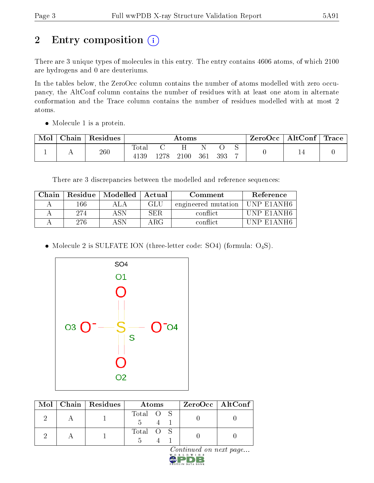# 2 Entry composition (i)

There are 3 unique types of molecules in this entry. The entry contains 4606 atoms, of which 2100 are hydrogens and 0 are deuteriums.

In the tables below, the ZeroOcc column contains the number of atoms modelled with zero occupancy, the AltConf column contains the number of residues with at least one atom in alternate conformation and the Trace column contains the number of residues modelled with at most 2 atoms.

• Molecule 1 is a protein.

| Mol | Chain | ' Residues | Atoms         |      |      |     | ZeroOcc | $\mathbf{AltConf} \mid \mathbf{Trace}$ |  |    |  |
|-----|-------|------------|---------------|------|------|-----|---------|----------------------------------------|--|----|--|
|     | . .   | 260        | Total<br>4139 | 1278 | 2100 | 361 | 393     | ◡<br>-                                 |  | ᆠᆂ |  |

There are 3 discrepancies between the modelled and reference sequences:

| Chain |     | Residue   Modelled   Actual |            | Comment             | Reference                          |
|-------|-----|-----------------------------|------------|---------------------|------------------------------------|
|       | 166 |                             | GLU        | engineered mutation | UNP E1ANH6                         |
|       | 274 | ASN                         | <b>SER</b> | conflict            | UNP E1ANH6                         |
|       | 276 |                             | ARG        | conflict            | F1AYH6<br>$+1 \text{N} \text{P} +$ |

• Molecule 2 is SULFATE ION (three-letter code: SO4) (formula:  $O_4S$ ).



|  | $Mol$   Chain   Residues | Atoms     | $ZeroOcc$   AltConf |
|--|--------------------------|-----------|---------------------|
|  |                          | Total O S |                     |
|  |                          | Total O S |                     |

Continued on next page...

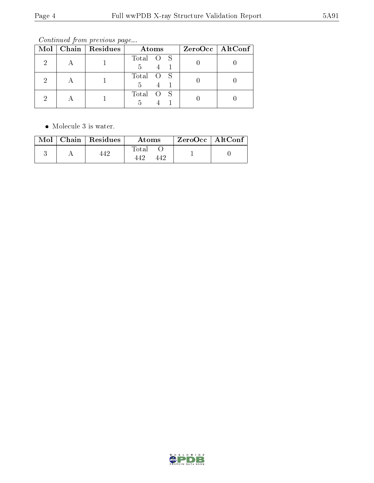Continued from previous page...

|  | Mol   Chain   Residues | Atoms          | $ZeroOcc \mid AltConf \mid$ |
|--|------------------------|----------------|-----------------------------|
|  |                        | Total O S<br>5 |                             |
|  |                        | Total O S<br>5 |                             |
|  |                        | Total O S      |                             |

• Molecule 3 is water.

| Mol | Chain   Residues | Atoms | $\rm ZeroOcc \mid AltConf$ |  |
|-----|------------------|-------|----------------------------|--|
|     |                  | Total |                            |  |

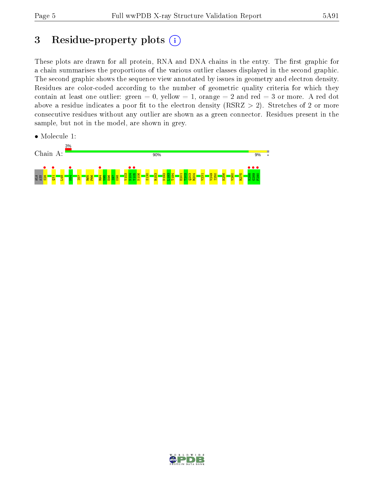# 3 Residue-property plots  $(i)$

These plots are drawn for all protein, RNA and DNA chains in the entry. The first graphic for a chain summarises the proportions of the various outlier classes displayed in the second graphic. The second graphic shows the sequence view annotated by issues in geometry and electron density. Residues are color-coded according to the number of geometric quality criteria for which they contain at least one outlier: green  $= 0$ , yellow  $= 1$ , orange  $= 2$  and red  $= 3$  or more. A red dot above a residue indicates a poor fit to the electron density (RSRZ  $> 2$ ). Stretches of 2 or more consecutive residues without any outlier are shown as a green connector. Residues present in the sample, but not in the model, are shown in grey.

• Molecule 1:



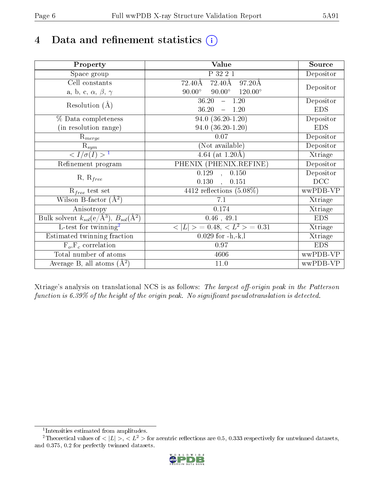# 4 Data and refinement statistics  $(i)$

| Property                                                             | Value                                              | Source     |
|----------------------------------------------------------------------|----------------------------------------------------|------------|
| Space group                                                          | P 32 2 1                                           | Depositor  |
| Cell constants                                                       | 72.40Å<br>$72.40\text{\AA}$<br>$97.20\text{\AA}$   |            |
| a, b, c, $\alpha$ , $\beta$ , $\gamma$                               | $90.00^\circ$<br>$90.00^\circ$<br>$120.00^{\circ}$ | Depositor  |
| Resolution $(A)$                                                     | 36.20<br>$-1.20$                                   | Depositor  |
|                                                                      | 36.20<br>$-1.20$                                   | <b>EDS</b> |
| % Data completeness                                                  | $94.0 (36.20 - 1.20)$                              | Depositor  |
| (in resolution range)                                                | $94.0 (36.20 - 1.20)$                              | <b>EDS</b> |
| $R_{merge}$                                                          | 0.07                                               | Depositor  |
| $\mathrm{R}_{sym}$                                                   | (Not available)                                    | Depositor  |
| $\langle I/\sigma(I) \rangle$ <sup>1</sup>                           | $\overline{4.64}$ (at 1.20 Å)                      | Xtriage    |
| Refinement program                                                   | PHENIX (PHENIX.REFINE)                             | Depositor  |
|                                                                      | $\overline{0.129}$ ,<br>0.150                      | Depositor  |
| $R, R_{free}$                                                        | 0.130<br>0.151<br>$\ddot{\phantom{a}}$             | DCC        |
| $\mathcal{R}_{free}$ test set                                        | 4412 reflections $(5.08\%)$                        | wwPDB-VP   |
| Wilson B-factor $(A^2)$                                              | 7.1                                                | Xtriage    |
| Anisotropy                                                           | 0.174                                              | Xtriage    |
| Bulk solvent $k_{sol}(e/\mathring{A}^3)$ , $B_{sol}(\mathring{A}^2)$ | $0.46$ , 49.1                                      | <b>EDS</b> |
| L-test for twinning <sup>2</sup>                                     | $< L >$ = 0.48, $< L2$ = 0.31                      | Xtriage    |
| Estimated twinning fraction                                          | $0.029$ for $-h,-k,l$                              | Xtriage    |
| $F_o, F_c$ correlation                                               | 0.97                                               | <b>EDS</b> |
| Total number of atoms                                                | 4606                                               | wwPDB-VP   |
| Average B, all atoms $(A^2)$                                         | 11.0                                               | wwPDB-VP   |

Xtriage's analysis on translational NCS is as follows: The largest off-origin peak in the Patterson function is  $6.39\%$  of the height of the origin peak. No significant pseudotranslation is detected.

<sup>&</sup>lt;sup>2</sup>Theoretical values of  $\langle |L| \rangle$ ,  $\langle L^2 \rangle$  for acentric reflections are 0.5, 0.333 respectively for untwinned datasets, and 0.375, 0.2 for perfectly twinned datasets.



<span id="page-5-1"></span><span id="page-5-0"></span><sup>1</sup> Intensities estimated from amplitudes.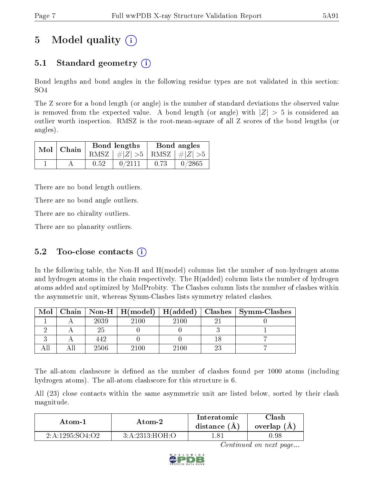# 5 Model quality  $(i)$

# 5.1 Standard geometry  $\overline{()}$

Bond lengths and bond angles in the following residue types are not validated in this section: SO4

The Z score for a bond length (or angle) is the number of standard deviations the observed value is removed from the expected value. A bond length (or angle) with  $|Z| > 5$  is considered an outlier worth inspection. RMSZ is the root-mean-square of all Z scores of the bond lengths (or angles).

| Mol   Chain |      | Bond lengths                    | Bond angles |        |  |
|-------------|------|---------------------------------|-------------|--------|--|
|             |      | RMSZ $ #Z  > 5$ RMSZ $ #Z  > 5$ |             |        |  |
|             | 0.52 | 0/2111                          | 0.73        | 0/2865 |  |

There are no bond length outliers.

There are no bond angle outliers.

There are no chirality outliers.

There are no planarity outliers.

### 5.2 Too-close contacts  $(i)$

In the following table, the Non-H and H(model) columns list the number of non-hydrogen atoms and hydrogen atoms in the chain respectively. The H(added) column lists the number of hydrogen atoms added and optimized by MolProbity. The Clashes column lists the number of clashes within the asymmetric unit, whereas Symm-Clashes lists symmetry related clashes.

| Mol |      |      |      | Chain   Non-H   H(model)   H(added)   Clashes   Symm-Clashes |
|-----|------|------|------|--------------------------------------------------------------|
|     | 2039 | 2100 | 2100 |                                                              |
|     |      |      |      |                                                              |
|     | 442  |      |      |                                                              |
|     | 2506 | 2100 | 2100 |                                                              |

The all-atom clashscore is defined as the number of clashes found per 1000 atoms (including hydrogen atoms). The all-atom clashscore for this structure is 6.

All (23) close contacts within the same asymmetric unit are listed below, sorted by their clash magnitude.

| Atom-1          | Atom-2         | Interatomic<br>distance $(A)$ | $\cap$ lash<br>overlap (A) |
|-----------------|----------------|-------------------------------|----------------------------|
| 2:A:1295:SO4:O2 | 3:A:2313:HOH:O | - 81                          | 1.98                       |

Continued on next page...

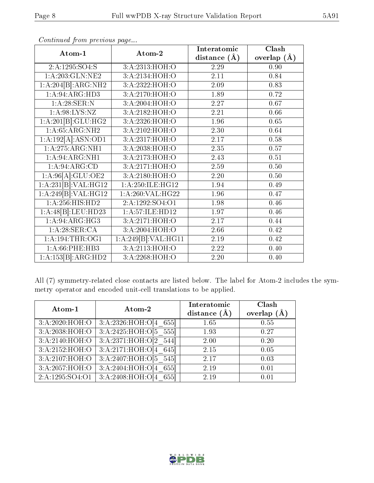| Atom-1              | Atom-2                                 | Interatomic      | Clash         |
|---------------------|----------------------------------------|------------------|---------------|
|                     |                                        | distance $(\AA)$ | overlap $(A)$ |
| 2:A:1295:SO4:S      | 3:A:2313:HOH:O                         | 2.29             | 0.90          |
| 1: A:203: GLN: NE2  | 3:A:2134:HOH:O                         | 2.11             | 0.84          |
| 1:A:204[B]:ARG:NH2  | 3:A:2322:HOH:O                         | 2.09             | 0.83          |
| 1:A:94:ARG:HD3      | 3:A:2170:HOH:O                         | 1.89             | 0.72          |
| 1:A:28:SER:N        | 3:A:2004:HOH:O                         | 2.27             | 0.67          |
| 1: A:98: LYS: NZ    | 3:A:2182:HOH:O                         | 2.21             | 0.66          |
| 1:A:201[B]:GLU:HG2  | 3:A:2326:HOH:O                         | 1.96             | 0.65          |
| 1: A:65: ARG: NH2   | 3:A:2102:HOH:O                         | 2.30             | 0.64          |
| 1:A:192[A]:ASN:OD1  | 3:A:2317:HOH:O                         | 2.17             | 0.58          |
| 1: A:275: ARG: NH1  | 3:A:2038:HOH:O                         | 2.35             | 0.57          |
| 1: A:94: ARG: NH1   | 3:A:2173:HOH:O                         | 2.43             | 0.51          |
| 1: A:94: ARG:CD     | 3:A:2171:HOH:O                         | 2.59             | 0.50          |
| 1:A:96[A]:GLU:OE2   | 3:A:2180:HOH:O                         | 2.20             | 0.50          |
| 1:A:231[B]:VAL:HG12 | 1: A:250: ILE: HG12                    | 1.94             | 0.49          |
| 1:A:249[B]:VAL:HG12 | 1:A:260:VAL:HG22                       | 1.96             | 0.47          |
| 1:A:256:HIS:HD2     | 2:A:1292:SO4:O1                        | 1.98             | 0.46          |
| 1:A:48[B]:LEU:HD23  | 1:A:57:ILE:HD12                        | 1.97             | 0.46          |
| 1:A:94:ARG:HG3      | 3:A:2171:HOH:O                         | 2.17             | 0.44          |
| 1:A:28:SER:CA       | 3:A:2004:H <sub>0</sub> H <sub>0</sub> | 2.66             | 0.42          |
| 1: A: 194: THE: OG1 | 1:A:249[B]:VAL:HG11                    | 2.19             | 0.42          |
| 1: A:66:PHE:HB3     | 3:A:2113:HOH:O                         | 2.22             | 0.40          |
| 1:A:153[B]:ARG:HD2  | 3:A:2268:HOH:O                         | 2.20             | 0.40          |

Continued from previous page...

All (7) symmetry-related close contacts are listed below. The label for Atom-2 includes the symmetry operator and encoded unit-cell translations to be applied.

| Atom-1                       | Atom-2                              | Interatomic<br>distance $(A)$ | Clash<br>overlap $(A)$ |
|------------------------------|-------------------------------------|-------------------------------|------------------------|
| 3: A:2020:HOH:O              | 3:A:2326:HOH:O[4 655]               | 1.65                          | 0.55                   |
| 3:A:2038:HOH:O               | 3:A:2425:HOH:O[5 555]               | 1.93                          | 0.27                   |
| $3:A:2140:\overline{HOH:O}$  | 3:A:2371:HOH:O[2 544]               | 2.00                          | 0.20                   |
| 3:A:2152:HOH:O               | 3:A:2171:HOH:O[4 645]               | 2.15                          | 0.05                   |
| 3:A:2107:HOH:O               | $3:A:2407:H\overline{O}H:O[5\_545]$ | 2.17                          | 0.03                   |
| 3:A:2057:HOH:O               | 3:A:2404:HOH:O[4 655]               | 2.19                          | 0.01                   |
| $2:\overline{A}:1295:SO4:O1$ | 3:A:2408:HOH:O[4 655]               | 2.19                          | 0.01                   |

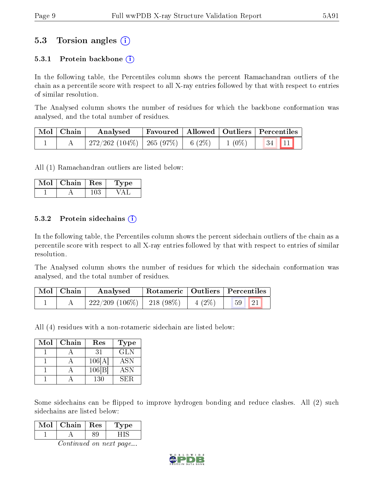## 5.3 Torsion angles (i)

#### 5.3.1 Protein backbone  $(i)$

In the following table, the Percentiles column shows the percent Ramachandran outliers of the chain as a percentile score with respect to all X-ray entries followed by that with respect to entries of similar resolution.

The Analysed column shows the number of residues for which the backbone conformation was analysed, and the total number of residues.

| $\mid$ Mol $\mid$ Chain $\mid$ | Analysed                                          |  | $\mid$ Favoured $\mid$ Allowed $\mid$ Outliers $\mid$ Percentiles $\mid$ |
|--------------------------------|---------------------------------------------------|--|--------------------------------------------------------------------------|
|                                | $+272/262$ $(104\%)$ $+265$ $(97\%)$ $+6$ $(2\%)$ |  | $1(0\%)$ 34 11                                                           |

All (1) Ramachandran outliers are listed below:

| Mol | Chain | $\pm$ Res $\pm$ | 1 ype |
|-----|-------|-----------------|-------|
|     |       |                 |       |

#### 5.3.2 Protein sidechains  $\hat{I}$

In the following table, the Percentiles column shows the percent sidechain outliers of the chain as a percentile score with respect to all X-ray entries followed by that with respect to entries of similar resolution.

The Analysed column shows the number of residues for which the sidechain conformation was analysed, and the total number of residues.

| $Mol$   Chain | Analysed                         |          | Rotameric   Outliers   Percentiles |  |  |
|---------------|----------------------------------|----------|------------------------------------|--|--|
|               | $+222/209$ (106\%) $-218$ (98\%) | $4(2\%)$ | 121 <sub>h</sub><br>$-59$          |  |  |

All (4) residues with a non-rotameric sidechain are listed below:

| Mol | Chain | Res    | Type       |
|-----|-------|--------|------------|
|     |       | 31     | <b>GLN</b> |
|     |       | 106[A] | <b>ASN</b> |
|     |       | 106 B  | <b>ASN</b> |
|     |       | 130    | SER.       |

Some sidechains can be flipped to improve hydrogen bonding and reduce clashes. All (2) such sidechains are listed below:

| וחו | Chain | Res | 'oe |
|-----|-------|-----|-----|
|     |       |     |     |

Continued on next page...

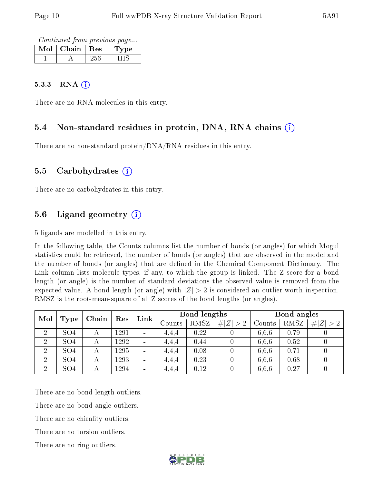Continued from previous page...

| Mol | Chain | $\mathbf{Res}$ | ⁄ pe |
|-----|-------|----------------|------|
|     |       |                |      |

#### $5.3.3$  RNA  $(i)$

There are no RNA molecules in this entry.

#### 5.4 Non-standard residues in protein, DNA, RNA chains (i)

There are no non-standard protein/DNA/RNA residues in this entry.

#### 5.5 Carbohydrates (i)

There are no carbohydrates in this entry.

### 5.6 Ligand geometry  $(i)$

5 ligands are modelled in this entry.

In the following table, the Counts columns list the number of bonds (or angles) for which Mogul statistics could be retrieved, the number of bonds (or angles) that are observed in the model and the number of bonds (or angles) that are defined in the Chemical Component Dictionary. The Link column lists molecule types, if any, to which the group is linked. The Z score for a bond length (or angle) is the number of standard deviations the observed value is removed from the expected value. A bond length (or angle) with  $|Z| > 2$  is considered an outlier worth inspection. RMSZ is the root-mean-square of all Z scores of the bond lengths (or angles).

| Mol            |                 | Chain |      | Link<br>Res                  | Bond lengths |             |             |        | Bond angles |                     |  |
|----------------|-----------------|-------|------|------------------------------|--------------|-------------|-------------|--------|-------------|---------------------|--|
|                | Type            |       |      |                              | Counts       | <b>RMSZ</b> | # <br> Z >2 | Counts | RMSZ        | $^{\circ}$ # Z  > 2 |  |
| $\overline{2}$ | SO <sub>4</sub> | А     | 1291 | $\qquad \qquad \blacksquare$ | 4.4.4        | 0.22        |             | 6.6.6  | 0.79        |                     |  |
| $\overline{2}$ | SO <sub>4</sub> | А     | 1292 | $\sim$                       | 4,4,4        | 0.44        |             | 6.6.6  | 0.52        | 0                   |  |
| $\overline{2}$ | SO <sub>4</sub> | А     | 1295 | $\blacksquare$               | 4,4,4        | 0.08        |             | 6,6,6  | 0.71        |                     |  |
| $\overline{2}$ | SO <sub>4</sub> | А     | 1293 | $\overline{\phantom{0}}$     | 4,4,4        | 0.23        |             | 6.6.6  | 0.68        |                     |  |
| $\overline{2}$ | SO <sub>4</sub> | А     | 1294 | $\overline{\phantom{0}}$     | 4,4,4        | 0.12        |             | 6,6,6  | 0.27        | 0                   |  |

There are no bond length outliers.

There are no bond angle outliers.

There are no chirality outliers.

There are no torsion outliers.

There are no ring outliers.

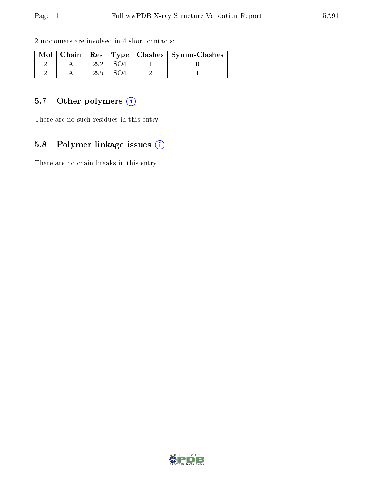| 2 monomers are involved in 4 short contacts: |  |  |  |  |
|----------------------------------------------|--|--|--|--|
|                                              |  |  |  |  |

|  |  | Mol   Chain   Res   Type   Clashes   Symm-Clashes |
|--|--|---------------------------------------------------|
|  |  |                                                   |
|  |  |                                                   |

### 5.7 [O](https://www.wwpdb.org/validation/2017/XrayValidationReportHelp#nonstandard_residues_and_ligands)ther polymers (i)

There are no such residues in this entry.

## 5.8 Polymer linkage issues (i)

There are no chain breaks in this entry.

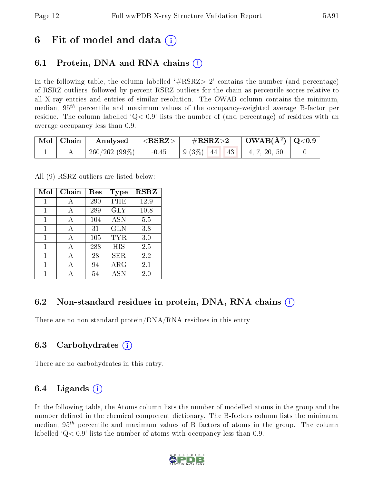# 6 Fit of model and data  $\left( \cdot \right)$

## 6.1 Protein, DNA and RNA chains (i)

In the following table, the column labelled  $#RSRZ>2'$  contains the number (and percentage) of RSRZ outliers, followed by percent RSRZ outliers for the chain as percentile scores relative to all X-ray entries and entries of similar resolution. The OWAB column contains the minimum, median,  $95<sup>th</sup>$  percentile and maximum values of the occupancy-weighted average B-factor per residue. The column labelled  $Q< 0.9$  lists the number of (and percentage) of residues with an average occupancy less than 0.9.

| $\mid$ Mol $\mid$ Chain $\mid$ | Analysed                    | $ \langle \mathrm{RSRZ}\rangle $ | $\rm \#RSRZ{>}2$                                                                                   | $\vert$ OWAB(Å <sup>2</sup> ) $\vert$ Q<0.9 |  |
|--------------------------------|-----------------------------|----------------------------------|----------------------------------------------------------------------------------------------------|---------------------------------------------|--|
|                                | $\mid$ 260/262 (99%) $\mid$ | $-0.45$                          | $\begin{array}{ c c c c c c c c c } \hline 9 & 3\% & 44 & 43 & 4, 7, 20, 50 \\ \hline \end{array}$ |                                             |  |

All (9) RSRZ outliers are listed below:

| Mol | Chain | $\operatorname{Res}% \left( \mathcal{N}\right) \equiv\operatorname{Res}(\mathcal{N}_{0})\cap\mathcal{N}_{1}$ | <b>Type</b> | <b>RSRZ</b> |
|-----|-------|--------------------------------------------------------------------------------------------------------------|-------------|-------------|
| 1   | А     | 290                                                                                                          | PHE         | 12.9        |
| 1   | A     | 289                                                                                                          | <b>GLY</b>  | 10.8        |
| 1   | А     | 104                                                                                                          | <b>ASN</b>  | 5.5         |
| 1   | А     | 31                                                                                                           | GLN         | 3.8         |
| 1   | A     | 105                                                                                                          | <b>TYR</b>  | 3.0         |
| 1   | А     | 288                                                                                                          | HIS         | 2.5         |
| 1   | А     | 28                                                                                                           | SER         | 2.2         |
| 1   | А     | 94                                                                                                           | ${\rm ARG}$ | 2.1         |
|     |       | 54                                                                                                           | <b>ASN</b>  | 2.0         |

### 6.2 Non-standard residues in protein, DNA, RNA chains  $(i)$

There are no non-standard protein/DNA/RNA residues in this entry.

### 6.3 Carbohydrates (i)

There are no carbohydrates in this entry.

### 6.4 Ligands  $(i)$

In the following table, the Atoms column lists the number of modelled atoms in the group and the number defined in the chemical component dictionary. The B-factors column lists the minimum, median,  $95<sup>th</sup>$  percentile and maximum values of B factors of atoms in the group. The column labelled  $Q< 0.9$  lists the number of atoms with occupancy less than 0.9.